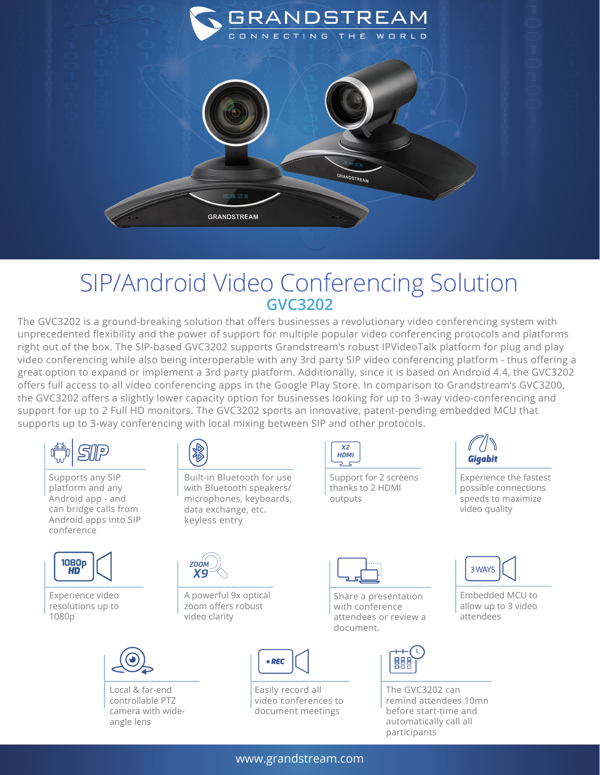

## SIP/Android Video Conferencing Solution **GVC3202**

The GVC3202 is a ground-breaking solution that offers businesses a revolutionary video conferencing system with unprecedented flexibility and the power of support for multiple popular video conferencing protocols and platforms right out of the box. The SIP-based GVC3202 supports Grandstream's robust IPVideoTalk platform for plug and play video conferencing while also being interoperable with any 3rd party SIP video conferencing platform - thus offering a great option to expand or implement a 3rd party platform. Additionally, since it is based on Android 4.4, the GVC3202 offers full access to all video conferencing apps in the Google Play Store. In comparison to Grandstream's GVC3200, the GVC3202 offers a slightly lower capacity option for businesses looking for up to 3-way video-conferencing and support for up to 2 Full HD monitors. The GVC3202 sports an innovative, patent-pending embedded MCU that supports up to 3-way conferencing with local mixing between SIP and other protocols.



www.grandstream.com